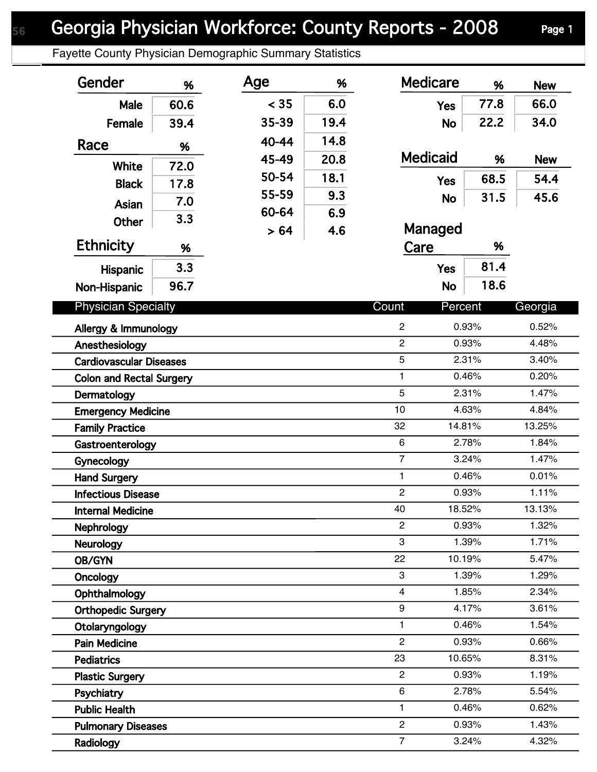## Georgia Physician Workforce: County Reports - 2008 Page 1

Fayette County Physician Demographic Summary Statistics

| 66.0<br>< 35<br>6.0<br>77.8<br>60.6<br>Male<br><b>Yes</b><br>19.4<br>35-39<br>22.2<br>34.0<br>39.4<br>Female<br><b>No</b><br>14.8<br>40-44<br>Race<br>%<br><b>Medicaid</b><br>20.8<br>45-49<br>%<br><b>New</b><br>72.0<br>White<br>50-54<br>18.1<br>68.5<br>54.4<br><b>Yes</b><br>17.8<br><b>Black</b><br>55-59<br>9.3<br>31.5<br>45.6<br><b>No</b><br>7.0<br>Asian<br>60-64<br>6.9<br>3.3<br><b>Other</b><br>Managed<br>> 64<br>4.6<br><b>Ethnicity</b><br>Care<br>%<br>%<br>81.4<br>3.3<br><b>Yes</b><br>Hispanic<br>18.6<br>96.7<br><b>No</b><br>Non-Hispanic<br><b>Physician Specialty</b><br>Count<br>Percent<br>Georgia<br>$\overline{c}$<br>0.93%<br>0.52%<br>$\overline{2}$<br>0.93%<br>4.48%<br>Anesthesiology<br>5<br>2.31%<br>3.40%<br>1<br>0.46%<br>0.20%<br><b>Colon and Rectal Surgery</b><br>5<br>2.31%<br>1.47%<br>10<br>4.63%<br>4.84%<br>32<br>13.25%<br>14.81%<br>$\,6\,$<br>2.78%<br>1.84%<br>$\overline{7}$<br>1.47%<br>3.24%<br>0.46%<br>0.01%<br>1<br><b>Hand Surgery</b><br>$\overline{2}$<br>0.93%<br>1.11%<br>40<br>18.52%<br>13.13%<br>$\overline{c}$<br>0.93%<br>1.32%<br><b>Nephrology</b><br>3<br>1.39%<br>1.71%<br><b>Neurology</b><br>22<br>10.19%<br>5.47%<br>OB/GYN<br>3<br>1.39%<br>1.29%<br>Oncology<br>4<br>2.34%<br>1.85%<br>Ophthalmology<br>9<br>4.17%<br>3.61%<br><b>Orthopedic Surgery</b><br>0.46%<br>1.54%<br>1.<br>Otolaryngology<br>$\overline{2}$<br>0.93%<br>0.66%<br><b>Pain Medicine</b><br>23<br>10.65%<br>8.31%<br><b>Pediatrics</b><br>$\overline{2}$<br>0.93%<br>1.19%<br><b>Plastic Surgery</b><br>6<br>2.78%<br>5.54%<br>Psychiatry<br>0.46%<br>1<br>0.62%<br><b>Public Health</b><br>$\overline{c}$<br>0.93%<br>1.43%<br><b>Pulmonary Diseases</b><br>3.24% | Gender                         | % | Age | % | <b>Medicare</b> | % | <b>New</b> |
|----------------------------------------------------------------------------------------------------------------------------------------------------------------------------------------------------------------------------------------------------------------------------------------------------------------------------------------------------------------------------------------------------------------------------------------------------------------------------------------------------------------------------------------------------------------------------------------------------------------------------------------------------------------------------------------------------------------------------------------------------------------------------------------------------------------------------------------------------------------------------------------------------------------------------------------------------------------------------------------------------------------------------------------------------------------------------------------------------------------------------------------------------------------------------------------------------------------------------------------------------------------------------------------------------------------------------------------------------------------------------------------------------------------------------------------------------------------------------------------------------------------------------------------------------------------------------------------------------------------------------------------------------------------------------------------------------------------------|--------------------------------|---|-----|---|-----------------|---|------------|
|                                                                                                                                                                                                                                                                                                                                                                                                                                                                                                                                                                                                                                                                                                                                                                                                                                                                                                                                                                                                                                                                                                                                                                                                                                                                                                                                                                                                                                                                                                                                                                                                                                                                                                                      |                                |   |     |   |                 |   |            |
|                                                                                                                                                                                                                                                                                                                                                                                                                                                                                                                                                                                                                                                                                                                                                                                                                                                                                                                                                                                                                                                                                                                                                                                                                                                                                                                                                                                                                                                                                                                                                                                                                                                                                                                      |                                |   |     |   |                 |   |            |
|                                                                                                                                                                                                                                                                                                                                                                                                                                                                                                                                                                                                                                                                                                                                                                                                                                                                                                                                                                                                                                                                                                                                                                                                                                                                                                                                                                                                                                                                                                                                                                                                                                                                                                                      |                                |   |     |   |                 |   |            |
|                                                                                                                                                                                                                                                                                                                                                                                                                                                                                                                                                                                                                                                                                                                                                                                                                                                                                                                                                                                                                                                                                                                                                                                                                                                                                                                                                                                                                                                                                                                                                                                                                                                                                                                      |                                |   |     |   |                 |   |            |
|                                                                                                                                                                                                                                                                                                                                                                                                                                                                                                                                                                                                                                                                                                                                                                                                                                                                                                                                                                                                                                                                                                                                                                                                                                                                                                                                                                                                                                                                                                                                                                                                                                                                                                                      |                                |   |     |   |                 |   |            |
|                                                                                                                                                                                                                                                                                                                                                                                                                                                                                                                                                                                                                                                                                                                                                                                                                                                                                                                                                                                                                                                                                                                                                                                                                                                                                                                                                                                                                                                                                                                                                                                                                                                                                                                      |                                |   |     |   |                 |   |            |
|                                                                                                                                                                                                                                                                                                                                                                                                                                                                                                                                                                                                                                                                                                                                                                                                                                                                                                                                                                                                                                                                                                                                                                                                                                                                                                                                                                                                                                                                                                                                                                                                                                                                                                                      |                                |   |     |   |                 |   |            |
|                                                                                                                                                                                                                                                                                                                                                                                                                                                                                                                                                                                                                                                                                                                                                                                                                                                                                                                                                                                                                                                                                                                                                                                                                                                                                                                                                                                                                                                                                                                                                                                                                                                                                                                      |                                |   |     |   |                 |   |            |
|                                                                                                                                                                                                                                                                                                                                                                                                                                                                                                                                                                                                                                                                                                                                                                                                                                                                                                                                                                                                                                                                                                                                                                                                                                                                                                                                                                                                                                                                                                                                                                                                                                                                                                                      |                                |   |     |   |                 |   |            |
|                                                                                                                                                                                                                                                                                                                                                                                                                                                                                                                                                                                                                                                                                                                                                                                                                                                                                                                                                                                                                                                                                                                                                                                                                                                                                                                                                                                                                                                                                                                                                                                                                                                                                                                      |                                |   |     |   |                 |   |            |
|                                                                                                                                                                                                                                                                                                                                                                                                                                                                                                                                                                                                                                                                                                                                                                                                                                                                                                                                                                                                                                                                                                                                                                                                                                                                                                                                                                                                                                                                                                                                                                                                                                                                                                                      |                                |   |     |   |                 |   |            |
|                                                                                                                                                                                                                                                                                                                                                                                                                                                                                                                                                                                                                                                                                                                                                                                                                                                                                                                                                                                                                                                                                                                                                                                                                                                                                                                                                                                                                                                                                                                                                                                                                                                                                                                      |                                |   |     |   |                 |   |            |
|                                                                                                                                                                                                                                                                                                                                                                                                                                                                                                                                                                                                                                                                                                                                                                                                                                                                                                                                                                                                                                                                                                                                                                                                                                                                                                                                                                                                                                                                                                                                                                                                                                                                                                                      |                                |   |     |   |                 |   |            |
|                                                                                                                                                                                                                                                                                                                                                                                                                                                                                                                                                                                                                                                                                                                                                                                                                                                                                                                                                                                                                                                                                                                                                                                                                                                                                                                                                                                                                                                                                                                                                                                                                                                                                                                      | Allergy & Immunology           |   |     |   |                 |   |            |
|                                                                                                                                                                                                                                                                                                                                                                                                                                                                                                                                                                                                                                                                                                                                                                                                                                                                                                                                                                                                                                                                                                                                                                                                                                                                                                                                                                                                                                                                                                                                                                                                                                                                                                                      |                                |   |     |   |                 |   |            |
|                                                                                                                                                                                                                                                                                                                                                                                                                                                                                                                                                                                                                                                                                                                                                                                                                                                                                                                                                                                                                                                                                                                                                                                                                                                                                                                                                                                                                                                                                                                                                                                                                                                                                                                      | <b>Cardiovascular Diseases</b> |   |     |   |                 |   |            |
|                                                                                                                                                                                                                                                                                                                                                                                                                                                                                                                                                                                                                                                                                                                                                                                                                                                                                                                                                                                                                                                                                                                                                                                                                                                                                                                                                                                                                                                                                                                                                                                                                                                                                                                      |                                |   |     |   |                 |   |            |
|                                                                                                                                                                                                                                                                                                                                                                                                                                                                                                                                                                                                                                                                                                                                                                                                                                                                                                                                                                                                                                                                                                                                                                                                                                                                                                                                                                                                                                                                                                                                                                                                                                                                                                                      | Dermatology                    |   |     |   |                 |   |            |
|                                                                                                                                                                                                                                                                                                                                                                                                                                                                                                                                                                                                                                                                                                                                                                                                                                                                                                                                                                                                                                                                                                                                                                                                                                                                                                                                                                                                                                                                                                                                                                                                                                                                                                                      | <b>Emergency Medicine</b>      |   |     |   |                 |   |            |
|                                                                                                                                                                                                                                                                                                                                                                                                                                                                                                                                                                                                                                                                                                                                                                                                                                                                                                                                                                                                                                                                                                                                                                                                                                                                                                                                                                                                                                                                                                                                                                                                                                                                                                                      | <b>Family Practice</b>         |   |     |   |                 |   |            |
|                                                                                                                                                                                                                                                                                                                                                                                                                                                                                                                                                                                                                                                                                                                                                                                                                                                                                                                                                                                                                                                                                                                                                                                                                                                                                                                                                                                                                                                                                                                                                                                                                                                                                                                      | Gastroenterology               |   |     |   |                 |   |            |
|                                                                                                                                                                                                                                                                                                                                                                                                                                                                                                                                                                                                                                                                                                                                                                                                                                                                                                                                                                                                                                                                                                                                                                                                                                                                                                                                                                                                                                                                                                                                                                                                                                                                                                                      | Gynecology                     |   |     |   |                 |   |            |
|                                                                                                                                                                                                                                                                                                                                                                                                                                                                                                                                                                                                                                                                                                                                                                                                                                                                                                                                                                                                                                                                                                                                                                                                                                                                                                                                                                                                                                                                                                                                                                                                                                                                                                                      |                                |   |     |   |                 |   |            |
|                                                                                                                                                                                                                                                                                                                                                                                                                                                                                                                                                                                                                                                                                                                                                                                                                                                                                                                                                                                                                                                                                                                                                                                                                                                                                                                                                                                                                                                                                                                                                                                                                                                                                                                      | <b>Infectious Disease</b>      |   |     |   |                 |   |            |
|                                                                                                                                                                                                                                                                                                                                                                                                                                                                                                                                                                                                                                                                                                                                                                                                                                                                                                                                                                                                                                                                                                                                                                                                                                                                                                                                                                                                                                                                                                                                                                                                                                                                                                                      | <b>Internal Medicine</b>       |   |     |   |                 |   |            |
|                                                                                                                                                                                                                                                                                                                                                                                                                                                                                                                                                                                                                                                                                                                                                                                                                                                                                                                                                                                                                                                                                                                                                                                                                                                                                                                                                                                                                                                                                                                                                                                                                                                                                                                      |                                |   |     |   |                 |   |            |
|                                                                                                                                                                                                                                                                                                                                                                                                                                                                                                                                                                                                                                                                                                                                                                                                                                                                                                                                                                                                                                                                                                                                                                                                                                                                                                                                                                                                                                                                                                                                                                                                                                                                                                                      |                                |   |     |   |                 |   |            |
|                                                                                                                                                                                                                                                                                                                                                                                                                                                                                                                                                                                                                                                                                                                                                                                                                                                                                                                                                                                                                                                                                                                                                                                                                                                                                                                                                                                                                                                                                                                                                                                                                                                                                                                      |                                |   |     |   |                 |   |            |
|                                                                                                                                                                                                                                                                                                                                                                                                                                                                                                                                                                                                                                                                                                                                                                                                                                                                                                                                                                                                                                                                                                                                                                                                                                                                                                                                                                                                                                                                                                                                                                                                                                                                                                                      |                                |   |     |   |                 |   |            |
|                                                                                                                                                                                                                                                                                                                                                                                                                                                                                                                                                                                                                                                                                                                                                                                                                                                                                                                                                                                                                                                                                                                                                                                                                                                                                                                                                                                                                                                                                                                                                                                                                                                                                                                      |                                |   |     |   |                 |   |            |
|                                                                                                                                                                                                                                                                                                                                                                                                                                                                                                                                                                                                                                                                                                                                                                                                                                                                                                                                                                                                                                                                                                                                                                                                                                                                                                                                                                                                                                                                                                                                                                                                                                                                                                                      |                                |   |     |   |                 |   |            |
|                                                                                                                                                                                                                                                                                                                                                                                                                                                                                                                                                                                                                                                                                                                                                                                                                                                                                                                                                                                                                                                                                                                                                                                                                                                                                                                                                                                                                                                                                                                                                                                                                                                                                                                      |                                |   |     |   |                 |   |            |
|                                                                                                                                                                                                                                                                                                                                                                                                                                                                                                                                                                                                                                                                                                                                                                                                                                                                                                                                                                                                                                                                                                                                                                                                                                                                                                                                                                                                                                                                                                                                                                                                                                                                                                                      |                                |   |     |   |                 |   |            |
|                                                                                                                                                                                                                                                                                                                                                                                                                                                                                                                                                                                                                                                                                                                                                                                                                                                                                                                                                                                                                                                                                                                                                                                                                                                                                                                                                                                                                                                                                                                                                                                                                                                                                                                      |                                |   |     |   |                 |   |            |
|                                                                                                                                                                                                                                                                                                                                                                                                                                                                                                                                                                                                                                                                                                                                                                                                                                                                                                                                                                                                                                                                                                                                                                                                                                                                                                                                                                                                                                                                                                                                                                                                                                                                                                                      |                                |   |     |   |                 |   |            |
|                                                                                                                                                                                                                                                                                                                                                                                                                                                                                                                                                                                                                                                                                                                                                                                                                                                                                                                                                                                                                                                                                                                                                                                                                                                                                                                                                                                                                                                                                                                                                                                                                                                                                                                      |                                |   |     |   |                 |   |            |
|                                                                                                                                                                                                                                                                                                                                                                                                                                                                                                                                                                                                                                                                                                                                                                                                                                                                                                                                                                                                                                                                                                                                                                                                                                                                                                                                                                                                                                                                                                                                                                                                                                                                                                                      |                                |   |     |   |                 |   |            |
|                                                                                                                                                                                                                                                                                                                                                                                                                                                                                                                                                                                                                                                                                                                                                                                                                                                                                                                                                                                                                                                                                                                                                                                                                                                                                                                                                                                                                                                                                                                                                                                                                                                                                                                      | Radiology                      |   |     |   | $\overline{7}$  |   | 4.32%      |